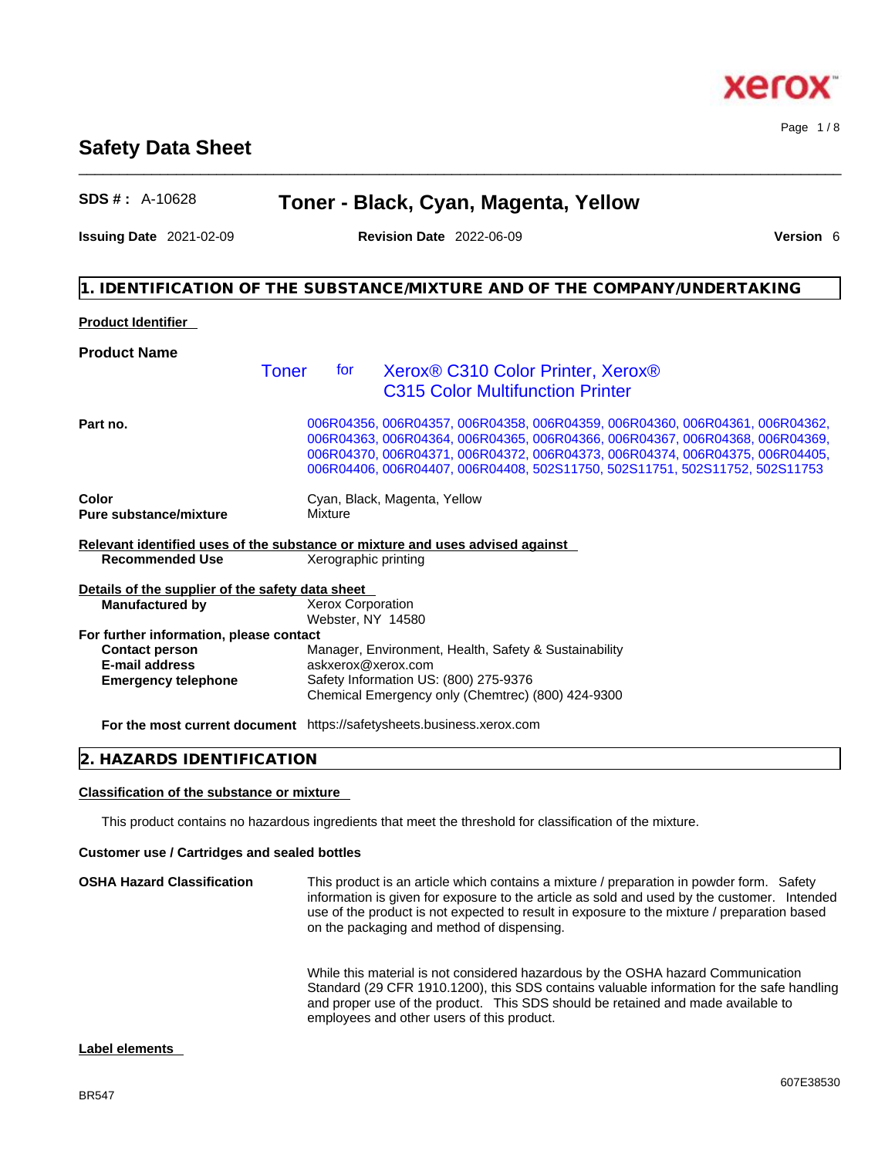### BR547

# **Safety Data Sheet**

| <b>Product Identifier</b>                        |              |                                                                               |  |
|--------------------------------------------------|--------------|-------------------------------------------------------------------------------|--|
| <b>Product Name</b>                              |              |                                                                               |  |
|                                                  | Toner<br>for | Xerox® C310 Color Printer, Xerox®                                             |  |
|                                                  |              | <b>C315 Color Multifunction Printer</b>                                       |  |
| Part no.                                         |              | 006R04356, 006R04357, 006R04358, 006R04359, 006R04360, 006R04361, 006R04362,  |  |
|                                                  |              | 006R04363, 006R04364, 006R04365, 006R04366, 006R04367, 006R04368, 006R04369,  |  |
|                                                  |              | 006R04370, 006R04371, 006R04372, 006R04373, 006R04374, 006R04375, 006R04405,  |  |
|                                                  |              | 006R04406, 006R04407, 006R04408, 502S11750, 502S11751, 502S11752, 502S11753   |  |
| Color                                            |              | Cyan, Black, Magenta, Yellow                                                  |  |
| Pure substance/mixture                           | Mixture      |                                                                               |  |
|                                                  |              | Relevant identified uses of the substance or mixture and uses advised against |  |
| <b>Recommended Use</b>                           |              | Xerographic printing                                                          |  |
| Details of the supplier of the safety data sheet |              |                                                                               |  |
| <b>Manufactured by</b>                           |              | Xerox Corporation                                                             |  |
|                                                  |              | Webster, NY 14580                                                             |  |
| For further information, please contact          |              |                                                                               |  |
| <b>Contact person</b>                            |              | Manager, Environment, Health, Safety & Sustainability                         |  |
| <b>E-mail address</b>                            |              | askxerox@xerox.com                                                            |  |
| <b>Emergency telephone</b>                       |              | Safety Information US: (800) 275-9376                                         |  |
|                                                  |              | Chemical Emergency only (Chemtrec) (800) 424-9300                             |  |
|                                                  |              |                                                                               |  |

**For the most current document** https://safetysheets.business.xerox.com

# **2. HAZARDS IDENTIFICATION**

### **Classification of the substance or mixture**

This product contains no hazardous ingredients that meet the threshold for classification of the mixture.

### **Customer use / Cartridges and sealed bottles**

**OSHA Hazard Classification** This product is an article which contains a mixture / preparation in powder form. Safety information is given for exposure to the article as sold and used by the customer. Intended use of the product is not expected to result in exposure to the mixture / preparation based on the packaging and method of dispensing. While this material is not considered hazardous by the OSHA hazard Communication

Standard (29 CFR 1910.1200), this SDS contains valuable information for the safe handling and proper use of the product. This SDS should be retained and made available to employees and other users of this product.

# **Label elements**

# **SDS # :** A-10628 **Toner - Black, Cyan, Magenta, Yellow**

\_\_\_\_\_\_\_\_\_\_\_\_\_\_\_\_\_\_\_\_\_\_\_\_\_\_\_\_\_\_\_\_\_\_\_\_\_\_\_\_\_\_\_\_\_\_\_\_\_\_\_\_\_\_\_\_\_\_\_\_\_\_\_\_\_\_\_\_\_\_\_\_\_\_\_\_\_\_\_\_\_\_\_\_\_\_\_\_\_\_\_\_\_\_

**Issuing Date** 2021-02-09 **Revision Date** 2022-06-09 **Version** 6

**1. IDENTIFICATION OF THE SUBSTANCE/MIXTURE AND OF THE COMPANY/UNDERTAKING** 

Page 1 / 8

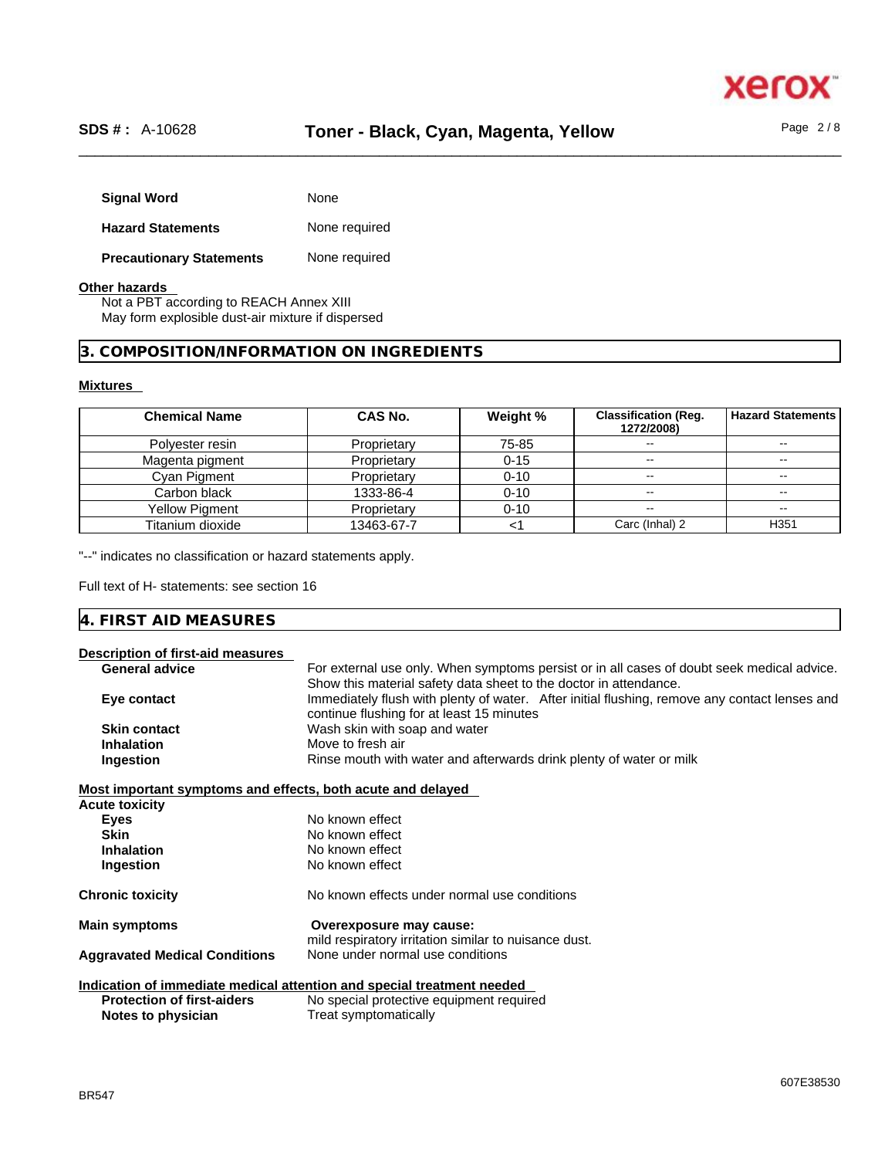

| <b>Signal Word</b>              | None          |
|---------------------------------|---------------|
| <b>Hazard Statements</b>        | None required |
| <b>Precautionary Statements</b> | None required |

### **Other hazards**

Not a PBT according to REACH Annex XIII May form explosible dust-air mixture if dispersed

# **3. COMPOSITION/INFORMATION ON INGREDIENTS**

# **Mixtures**

| <b>Chemical Name</b> | CAS No.     | Weight % | <b>Classification (Req.</b><br>1272/2008) | l Hazard Statements      |
|----------------------|-------------|----------|-------------------------------------------|--------------------------|
| Polyester resin      | Proprietary | 75-85    | --                                        | $- -$                    |
| Magenta pigment      | Proprietary | $0 - 15$ | --                                        | $\overline{\phantom{m}}$ |
| Cyan Pigment         | Proprietary | $0 - 10$ | --                                        |                          |
| Carbon black         | 1333-86-4   | $0 - 10$ |                                           | --                       |
| Yellow Pigment       | Proprietary | $0 - 10$ | --                                        | $\overline{\phantom{m}}$ |
| Titanium dioxide     | 13463-67-7  |          | Carc (Inhal) 2                            | H <sub>351</sub>         |

"--" indicates no classification or hazard statements apply.

Full text of H- statements: see section 16

| IЛ<br>- -<br>the contract of the contract of the contract of the contract of the contract of the contract of the contract of |  |  |
|------------------------------------------------------------------------------------------------------------------------------|--|--|
|                                                                                                                              |  |  |

|  |  |  |  | Description of first-aid measures |  |
|--|--|--|--|-----------------------------------|--|
|--|--|--|--|-----------------------------------|--|

| <b>General advice</b>                                       | For external use only. When symptoms persist or in all cases of doubt seek medical advice.    |
|-------------------------------------------------------------|-----------------------------------------------------------------------------------------------|
|                                                             | Show this material safety data sheet to the doctor in attendance.                             |
| Eye contact                                                 | Immediately flush with plenty of water. After initial flushing, remove any contact lenses and |
|                                                             | continue flushing for at least 15 minutes                                                     |
| <b>Skin contact</b>                                         | Wash skin with soap and water                                                                 |
| <b>Inhalation</b>                                           | Move to fresh air                                                                             |
| Ingestion                                                   | Rinse mouth with water and afterwards drink plenty of water or milk                           |
| Most important symptoms and effects, both acute and delayed |                                                                                               |
| <b>Acute toxicity</b>                                       |                                                                                               |
| Eyes                                                        | No known effect                                                                               |
| <b>Skin</b>                                                 | No known effect                                                                               |
| <b>Inhalation</b>                                           | No known effect                                                                               |
| Ingestion                                                   | No known effect                                                                               |
|                                                             |                                                                                               |
| <b>Chronic toxicity</b>                                     | No known effects under normal use conditions                                                  |
| <b>Main symptoms</b>                                        | Overexposure may cause:                                                                       |
|                                                             | mild respiratory irritation similar to nuisance dust.                                         |
| <b>Aggravated Medical Conditions</b>                        | None under normal use conditions                                                              |
|                                                             |                                                                                               |
|                                                             | Indication of immediate medical attention and special treatment needed                        |
| <b>Protection of first-aiders</b>                           | No special protective equipment required                                                      |
| Notes to physician                                          | Treat symptomatically                                                                         |
|                                                             |                                                                                               |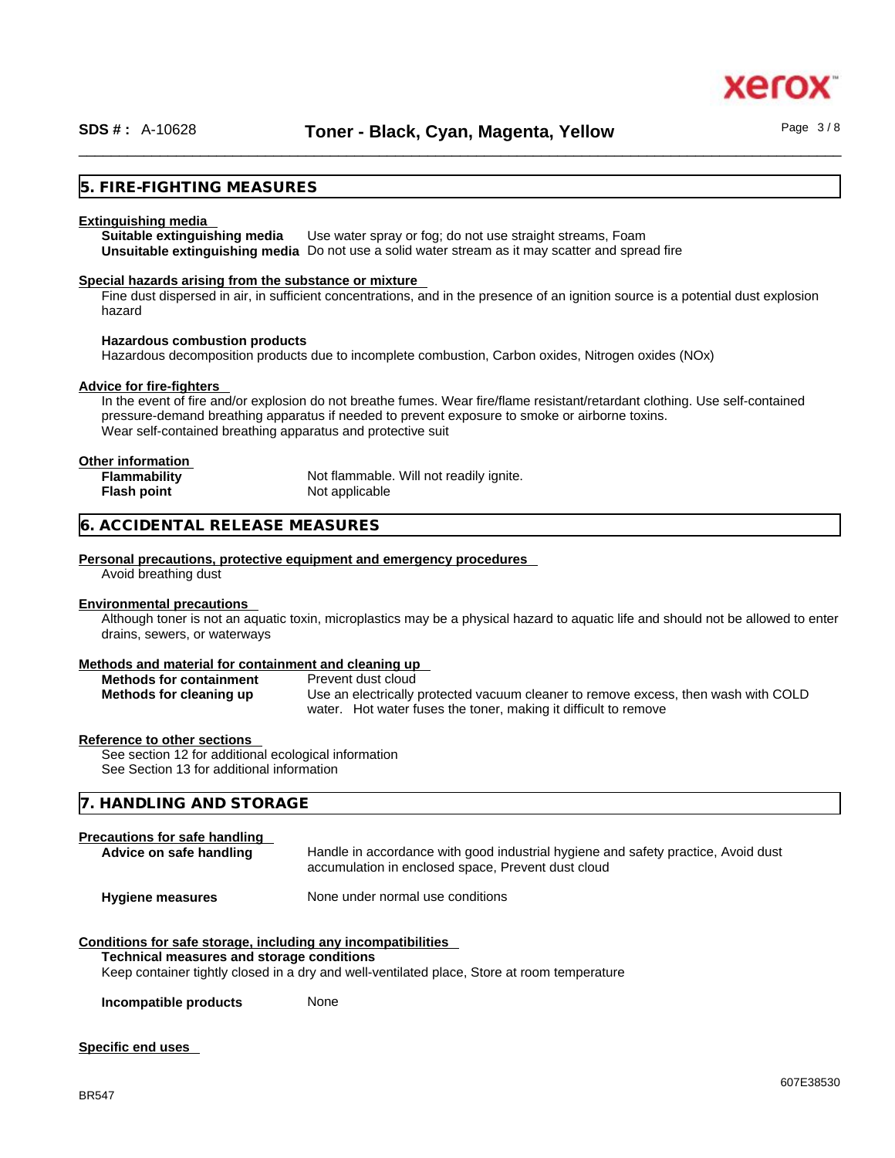xerc

# **5. FIRE-FIGHTING MEASURES**

### **Extinguishing media**

**Suitable extinguishing media** Use water spray or fog; do not use straight streams, Foam **Unsuitable extinguishing media** Do not use a solid water stream as it may scatterand spread fire

### **Special hazards arising from the substance or mixture**

Fine dust dispersed in air, in sufficient concentrations, and in the presence of an ignition source is a potential dust explosion hazard

### **Hazardous combustion products**

Hazardous decomposition products due to incomplete combustion, Carbon oxides, Nitrogen oxides (NOx)

### **Advice for fire-fighters**

In the event of fire and/or explosion do not breathe fumes. Wear fire/flame resistant/retardant clothing. Use self-contained pressure-demand breathing apparatus if needed to prevent exposure to smoke or airborne toxins. Wear self-contained breathing apparatus and protective suit

### **Other information**

| <b>Flammability</b> | Not flammable. Will not readily ignite. |
|---------------------|-----------------------------------------|
| Flash point         | Not applicable                          |

### **6. ACCIDENTAL RELEASE MEASURES**

### **Personal precautions, protective equipment and emergency procedures**

Avoid breathing dust

### **Environmental precautions**

Although toner is not an aquatic toxin, microplastics may be a physical hazard to aquatic life and should not be allowed to enter drains, sewers, or waterways

### **Methods and material for containment and cleaning up**

| <b>Methods for containment</b> | Prevent dust cloud                                                                 |
|--------------------------------|------------------------------------------------------------------------------------|
| Methods for cleaning up        | Use an electrically protected vacuum cleaner to remove excess, then wash with COLD |
|                                | water. Hot water fuses the toner, making it difficult to remove                    |

### **Reference to other sections**

See section 12 for additional ecological information See Section 13 for additional information

# **7. HANDLING AND STORAGE**

### **Precautions for safe handling**

| Advice on safe handling | Handle in accordance with good industrial hygiene and safety practice, Avoid dust<br>accumulation in enclosed space, Prevent dust cloud |
|-------------------------|-----------------------------------------------------------------------------------------------------------------------------------------|
| <b>Hygiene measures</b> | None under normal use conditions                                                                                                        |

# **Conditions for safe storage, including any incompatibilities**

# **Technical measures and storage conditions**

Keep container tightly closed in a dry and well-ventilated place, Store at room temperature

**Incompatible products** None

# **Specific end uses**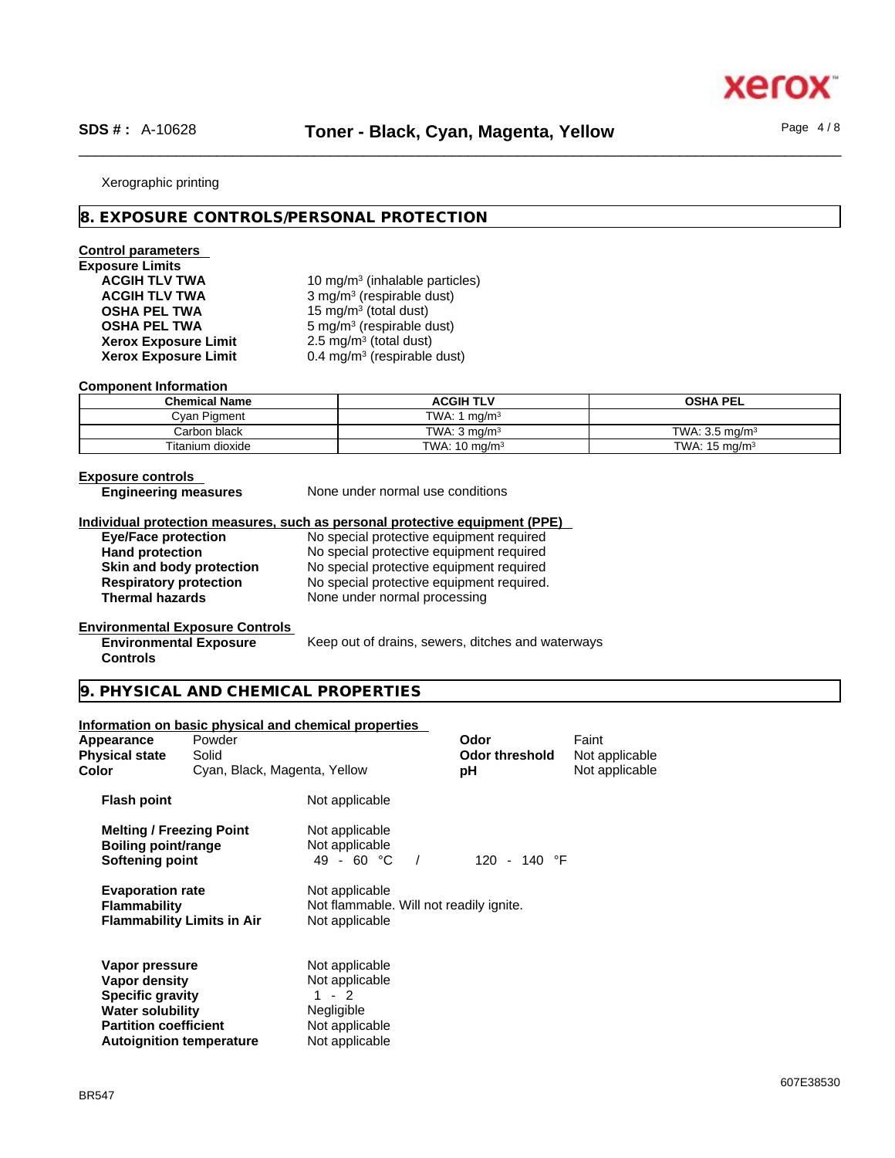xerc

### Xerographic printing

# **8. EXPOSURE CONTROLS/PERSONAL PROTECTION**

# **Control parameters**

# **Exposure Limits**

**Xerox Exposure Limit<br>Xerox Exposure Limit** 

ACGIH TLV TWA **10 mg/m<sup>3</sup> (inhalable particles) ACGIH TLV TWA** 3 mg/m<sup>3</sup> (respirable dust) **OSHA PEL TWA** 15 mg/m<sup>3</sup> (total dust) **OSHA PEL TWA** 5 mg/m<sup>3</sup> (respirable dust)  $2.5 \text{ mg/m}^3$  (total dust) **Xerox Exposure Limit** 0.4 mg/m<sup>3</sup> (respirable dust)

### **Component Information**

| <b>Chemical Name</b> | ACGIH TLV                   | <b>OSHA PEL</b>           |
|----------------------|-----------------------------|---------------------------|
| Cvan Pigment         | TWA: 1<br>ma/m <sup>3</sup> |                           |
| Carbon black         | TWA: $3 \text{ ma/m}^3$     | TWA: $3.5 \text{ ma/m}^3$ |
| Titanium dioxide     | TWA: $10 \text{ mg/m}^3$    | TWA: $15 \text{ mg/m}^3$  |

### **Exposure controls**

**Controls** 

**Engineering measures** None under normal use conditions

### **Individual protection measures, such as personal protective equipment (PPE)**

**Eye/Face protection** No special protective equipment required

**Hand protection** No special protective equipment required **Skin and body protection** No special protective equipment required **Respiratory protection** No special protective equipment required.<br> **Thermal hazards** None under normal processing **None under normal processing** 

### **Environmental Exposure Controls Environmental Exposure**

Keep out of drains, sewers, ditches and waterways

# **9. PHYSICAL AND CHEMICAL PROPERTIES**

### **Information on basic physical and chemical properties**

| Appearance<br><b>Physical state</b><br>Color                                                                                                             | Powder<br>Solid<br>Cyan, Black, Magenta, Yellow |                                                                                                      | Odor<br><b>Odor threshold</b><br>рH | Faint<br>Not applicable<br>Not applicable |  |
|----------------------------------------------------------------------------------------------------------------------------------------------------------|-------------------------------------------------|------------------------------------------------------------------------------------------------------|-------------------------------------|-------------------------------------------|--|
| <b>Flash point</b>                                                                                                                                       |                                                 | Not applicable                                                                                       |                                     |                                           |  |
| <b>Melting / Freezing Point</b><br><b>Boiling point/range</b><br>Softening point                                                                         |                                                 | Not applicable<br>Not applicable<br>49 - 60 $^{\circ}$ C                                             | 120 - 140 $\degree$ F               |                                           |  |
| <b>Evaporation rate</b><br><b>Flammability</b><br><b>Flammability Limits in Air</b>                                                                      |                                                 | Not applicable<br>Not flammable. Will not readily ignite.<br>Not applicable                          |                                     |                                           |  |
| Vapor pressure<br>Vapor density<br><b>Specific gravity</b><br><b>Water solubility</b><br><b>Partition coefficient</b><br><b>Autoignition temperature</b> |                                                 | Not applicable<br>Not applicable<br>$1 - 2$<br><b>Negligible</b><br>Not applicable<br>Not applicable |                                     |                                           |  |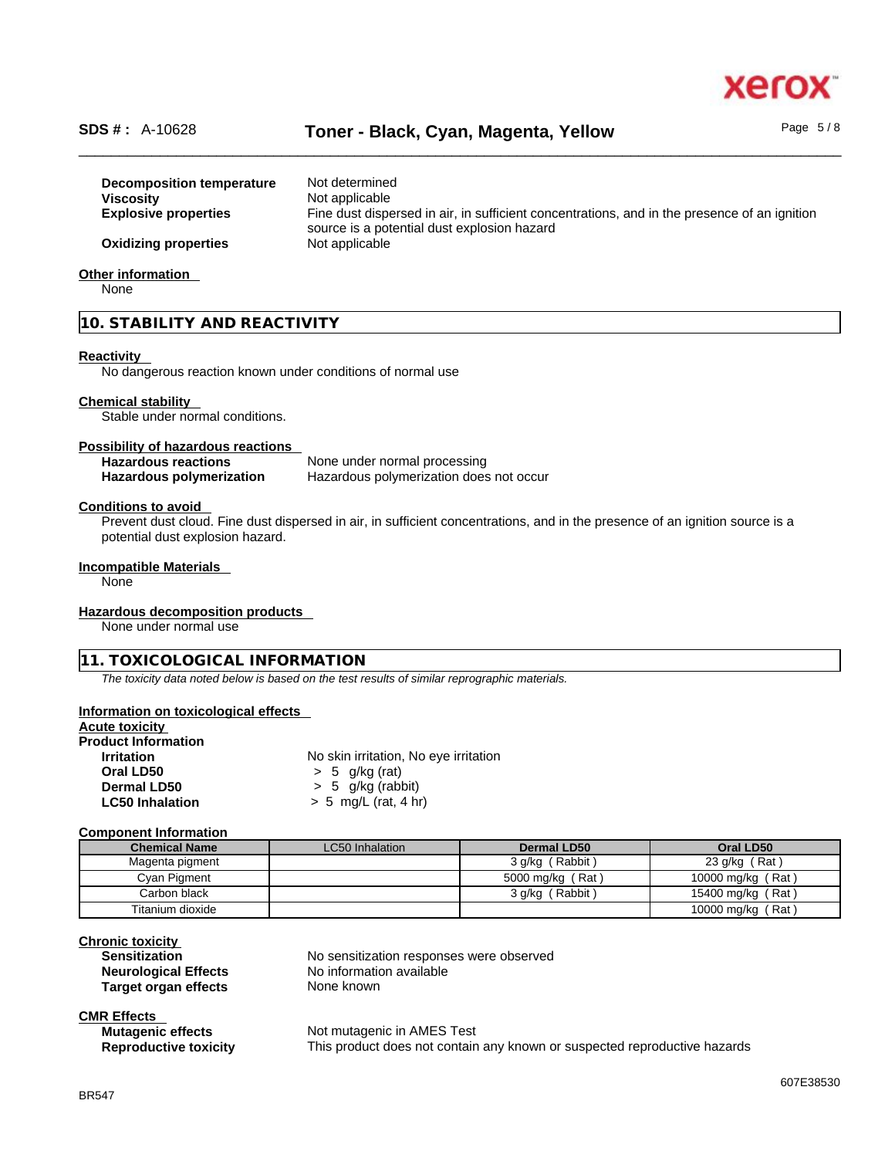

# \_\_\_\_\_\_\_\_\_\_\_\_\_\_\_\_\_\_\_\_\_\_\_\_\_\_\_\_\_\_\_\_\_\_\_\_\_\_\_\_\_\_\_\_\_\_\_\_\_\_\_\_\_\_\_\_\_\_\_\_\_\_\_\_\_\_\_\_\_\_\_\_\_\_\_\_\_\_\_\_\_\_\_\_\_\_\_\_\_\_\_\_\_\_ **SDS # :** A-10628 **Toner - Black, Cyan, Magenta, Yellow** Page 5 / 8

|                                  | Not determined                                                                               |
|----------------------------------|----------------------------------------------------------------------------------------------|
| <b>Decomposition temperature</b> |                                                                                              |
| <b>Viscosity</b>                 | Not applicable                                                                               |
| <b>Explosive properties</b>      | Fine dust dispersed in air, in sufficient concentrations, and in the presence of an ignition |
|                                  | source is a potential dust explosion hazard                                                  |
| <b>Oxidizing properties</b>      | Not applicable                                                                               |
| Other information                |                                                                                              |

None

# **10. STABILITY AND REACTIVITY**

### **Reactivity**

No dangerous reaction known under conditions of normal use

# **Chemical stability**

Stable under normal conditions.

### **Possibility of hazardous reactions**

| <b>Hazardous reactions</b>      | None under normal processing            |
|---------------------------------|-----------------------------------------|
| <b>Hazardous polymerization</b> | Hazardous polymerization does not occur |

# **Conditions to avoid**

Prevent dust cloud. Fine dust dispersed in air, in sufficient concentrations, and in the presence of an ignition source is a potential dust explosion hazard.

### **Incompatible Materials**

None

# **Hazardous decomposition products**

None under normal use

# **11. TOXICOLOGICAL INFORMATION**

*The toxicity data noted below is based on the test results of similar reprographic materials.* 

### **Information on toxicological effects**

| Acute toxicitv             |                                       |  |
|----------------------------|---------------------------------------|--|
| <b>Product Information</b> |                                       |  |
| <b>Irritation</b>          | No skin irritation, No eye irritation |  |
| Oral LD50                  | $> 5$ g/kg (rat)                      |  |
| Dermal LD50                | $> 5$ g/kg (rabbit)                   |  |
| <b>LC50 Inhalation</b>     | $> 5$ mg/L (rat, 4 hr)                |  |

### **Component Information**

| <b>Chemical Name</b> | LC50 Inhalation | Dermal LD50      | Oral LD50         |
|----------------------|-----------------|------------------|-------------------|
| Magenta pigment      |                 | 3 g/kg (Rabbit)  | 23 g/kg (Rat)     |
| Cyan Pigment         |                 | 5000 mg/kg (Rat) | 10000 mg/kg (Rat) |
| Carbon black         |                 | 3 g/kg (Rabbit)  | 15400 mg/kg (Rat) |
| Titanium dioxide     |                 |                  | 10000 mg/kg (Rat) |

# **Chronic toxicity**

**Target organ effects** None known

**Sensitization** No sensitization responses were observed **Neurological Effects** No information available

# **CMR Effects**

| <b>Mutagenic effects</b>     | Not mutager  |
|------------------------------|--------------|
| <b>Reproductive toxicity</b> | This product |

**Mic in AMES Test** does not contain any known or suspected reproductive hazards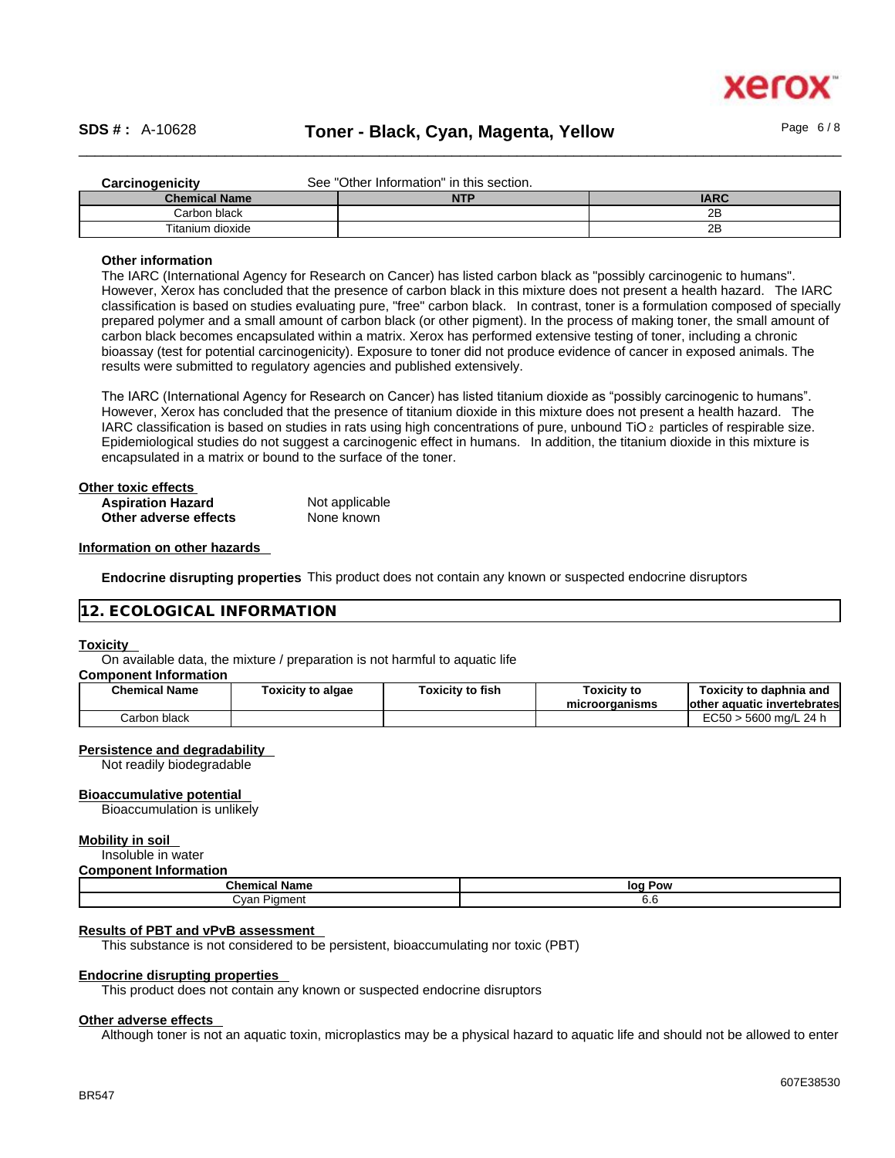

| Carcinogenicity      | See "Other Information" in this section. |             |  |
|----------------------|------------------------------------------|-------------|--|
| <b>Chemical Name</b> | <b>NTP</b>                               | <b>IARC</b> |  |
| Carbon black         |                                          | 2B          |  |
| Titanium dioxide     |                                          | 2Β          |  |

### **Other information**

The IARC (International Agency for Research on Cancer) has listed carbon black as "possibly carcinogenic to humans". However, Xerox has concluded that the presence of carbon black in this mixture does not present a health hazard. The IARC classification is based on studies evaluating pure, "free" carbon black. In contrast, toner is a formulation composed of specially prepared polymer and a small amount of carbon black (or other pigment). In the process of making toner, the small amount of carbon black becomes encapsulated within a matrix. Xerox has performed extensive testing of toner, including a chronic bioassay (test for potential carcinogenicity). Exposure to toner did not produce evidence of cancer in exposed animals. The results were submitted to regulatory agencies and published extensively.

The IARC (International Agency for Research on Cancer) has listed titanium dioxide as "possibly carcinogenic to humans". However, Xerox has concluded that the presence of titanium dioxide in this mixture does not present a health hazard. The IARC classification is based on studies in rats using high concentrations of pure, unbound TiO 2 particles of respirable size. Epidemiological studies do not suggest a carcinogenic effect in humans. In addition, the titanium dioxide in this mixture is encapsulated in a matrix or bound to the surface of the toner.

| Other toxic effects      |                |  |
|--------------------------|----------------|--|
| <b>Aspiration Hazard</b> | Not applicable |  |
| Other adverse effects    | None known     |  |

### **Information on other hazards**

**Endocrine disrupting properties** This product does not contain any known or suspected endocrine disruptors

### **12. ECOLOGICAL INFORMATION**

### **Toxicity**

On available data, the mixture / preparation is not harmful to aquatic life

### **Component Information**

| <b>Chemical Name</b> | Toxicity to algae | Toxicity to fish | <b>Toxicity to</b><br>microorganisms | Toxicitv to daphnia and<br>lother aquatic invertebrates |
|----------------------|-------------------|------------------|--------------------------------------|---------------------------------------------------------|
| Carbon black         |                   |                  |                                      | EC50 > 5600 ma/L 24 h                                   |

### **Persistence and degradability**

Not readily biodegradable

### **Bioaccumulative potential**

Bioaccumulation is unlikely

### **Mobility in soil**

Insoluble in water

### **Component Information**

| <b>Chemical Name</b>                             | loc<br>Pow |  |  |
|--------------------------------------------------|------------|--|--|
| Cyan<br>Pigment<br>$\sim$ $\sim$<br>$\mathbf{r}$ | v.v        |  |  |

## **Results of PBT and vPvB assessment**

This substance is not considered to be persistent, bioaccumulating nor toxic (PBT)

### **Endocrine disrupting properties**

This product does not contain any known or suspected endocrine disruptors

## **Other adverse effects**

Although toner is not an aquatic toxin, microplastics may be a physical hazard to aquatic life and should not be allowed to enter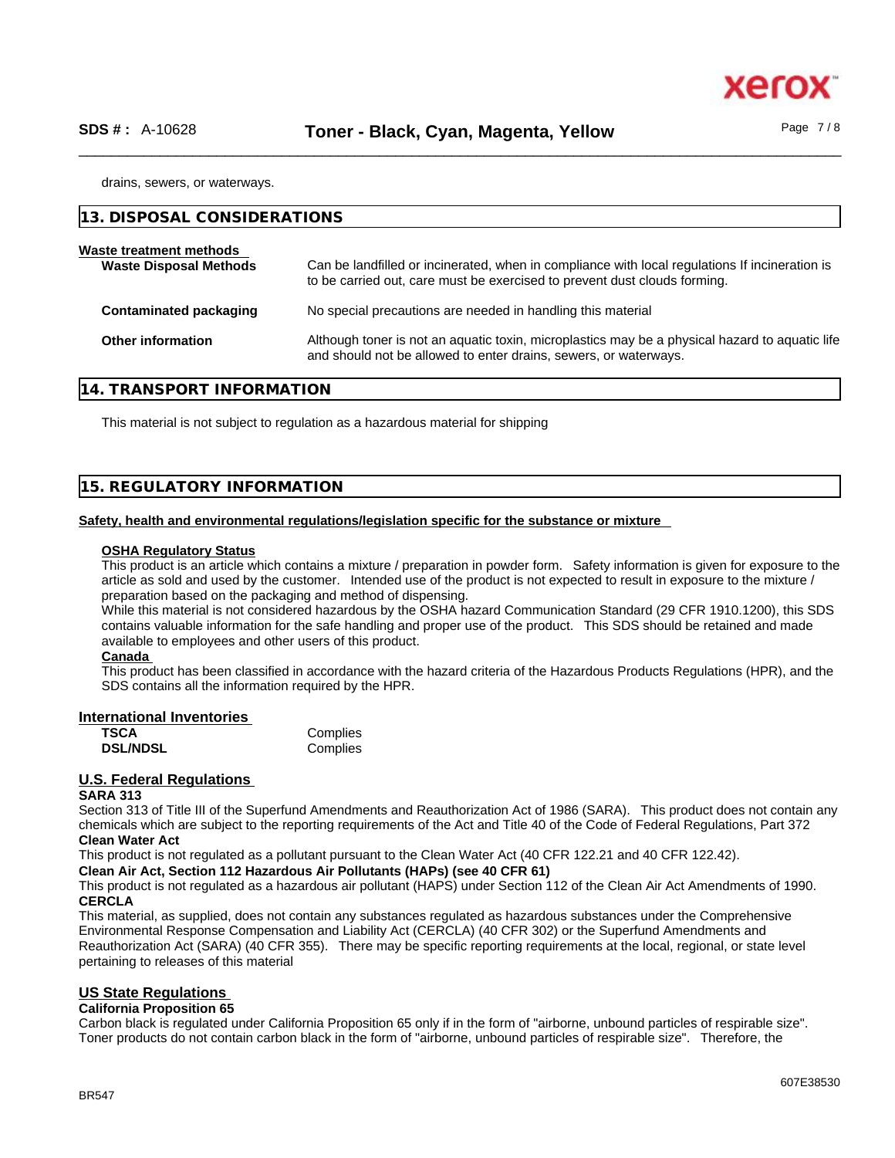xer

drains, sewers, or waterways.

| 13. DISPOSAL CONSIDERATIONS                              |                                                                                                                                                                             |
|----------------------------------------------------------|-----------------------------------------------------------------------------------------------------------------------------------------------------------------------------|
| Waste treatment methods<br><b>Waste Disposal Methods</b> | Can be landfilled or incinerated, when in compliance with local regulations If incineration is<br>to be carried out, care must be exercised to prevent dust clouds forming. |
| <b>Contaminated packaging</b>                            | No special precautions are needed in handling this material                                                                                                                 |
| <b>Other information</b>                                 | Although toner is not an aquatic toxin, microplastics may be a physical hazard to aquatic life<br>and should not be allowed to enter drains, sewers, or waterways.          |

## **14. TRANSPORT INFORMATION**

This material is not subject to regulation as a hazardous material for shipping

# **15. REGULATORY INFORMATION**

### **Safety, health and environmental regulations/legislation specific for the substance or mixture**

### **OSHA Regulatory Status**

This product is an article which contains a mixture / preparation in powder form. Safety information is given for exposure to the article as sold and used by the customer. Intended use of the product is not expected to result in exposure to the mixture / preparation based on the packaging and method of dispensing.

While this material is not considered hazardous by the OSHA hazard Communication Standard (29 CFR 1910.1200), this SDS contains valuable information for the safe handling and proper use of the product. This SDS should be retained and made available to employees and other users of this product.

### **Canada**

This product has been classified in accordance with the hazard criteria of the Hazardous Products Regulations (HPR), and the SDS contains all the information required by the HPR.

### **International Inventories**

| TSCA            | Complies |
|-----------------|----------|
| <b>DSL/NDSL</b> | Complies |

# **U.S. Federal Regulations**

### **SARA 313**

Section 313 of Title III of the Superfund Amendments and Reauthorization Act of 1986 (SARA). This product does not contain any chemicals which are subject to the reporting requirements of the Act and Title 40 of the Code of Federal Regulations, Part 372 **Clean Water Act**

This product is not regulated as a pollutant pursuant to the Clean Water Act (40 CFR 122.21 and 40 CFR 122.42).

**Clean Air Act,Section 112 Hazardous Air Pollutants (HAPs) (see 40 CFR 61)**

This product is not regulated as a hazardous air pollutant (HAPS) under Section 112 of the Clean Air Act Amendments of 1990. **CERCLA**

This material, as supplied, does not contain any substances regulated as hazardous substances under the Comprehensive Environmental Response Compensation and Liability Act (CERCLA) (40 CFR 302) or the Superfund Amendments and Reauthorization Act (SARA) (40 CFR 355). There may be specific reporting requirements at the local, regional, or state level pertaining to releases of this material

# **US State Regulations**

### **California Proposition 65**

Carbon black is regulated under California Proposition 65 only if in the form of "airborne, unbound particles of respirable size". Toner products do not contain carbon black in the form of "airborne, unbound particles of respirable size". Therefore, the